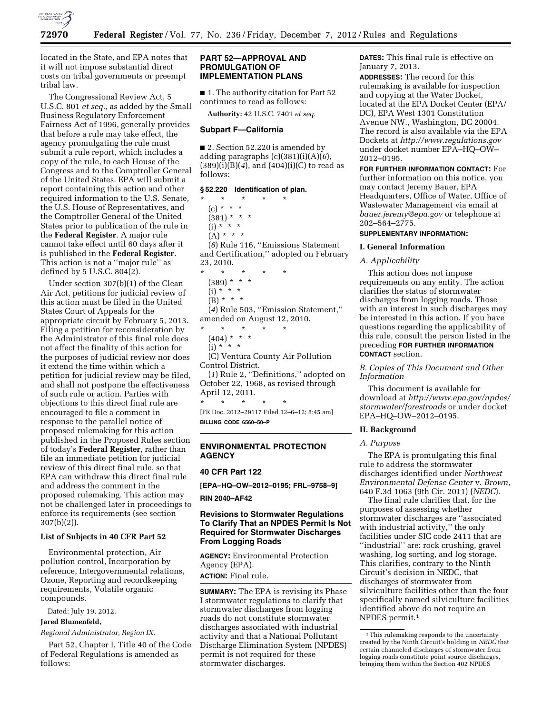

located in the State, and EPA notes that it will not impose substantial direct costs on tribal governments or preempt tribal law.

The Congressional Review Act, 5 U.S.C. 801 *et seq.,* as added by the Small Business Regulatory Enforcement Fairness Act of 1996, generally provides that before a rule may take effect, the agency promulgating the rule must submit a rule report, which includes a copy of the rule, to each House of the Congress and to the Comptroller General of the United States. EPA will submit a report containing this action and other required information to the U.S. Senate, the U.S. House of Representatives, and the Comptroller General of the United States prior to publication of the rule in the **Federal Register**. A major rule cannot take effect until 60 days after it is published in the **Federal Register**. This action is not a ''major rule'' as defined by 5 U.S.C. 804(2).

Under section 307(b)(1) of the Clean Air Act, petitions for judicial review of this action must be filed in the United States Court of Appeals for the appropriate circuit by February 5, 2013. Filing a petition for reconsideration by the Administrator of this final rule does not affect the finality of this action for the purposes of judicial review nor does it extend the time within which a petition for judicial review may be filed, and shall not postpone the effectiveness of such rule or action. Parties with objections to this direct final rule are encouraged to file a comment in response to the parallel notice of proposed rulemaking for this action published in the Proposed Rules section of today's **Federal Register**, rather than file an immediate petition for judicial review of this direct final rule, so that EPA can withdraw this direct final rule and address the comment in the proposed rulemaking. This action may not be challenged later in proceedings to enforce its requirements (see section 307(b)(2)).

# **List of Subjects in 40 CFR Part 52**

Environmental protection, Air pollution control, Incorporation by reference, Intergovernmental relations, Ozone, Reporting and recordkeeping requirements, Volatile organic compounds.

Dated: July 19, 2012.

**Jared Blumenfeld,** 

*Regional Administrator, Region IX.* 

Part 52, Chapter I, Title 40 of the Code of Federal Regulations is amended as follows:

# **PART 52—APPROVAL AND PROMULGATION OF IMPLEMENTATION PLANS**

■ 1. The authority citation for Part 52 continues to read as follows:

**Authority:** 42 U.S.C. 7401 *et seq.* 

#### **Subpart F—California**

■ 2. Section 52.220 is amended by adding paragraphs (c)(381)(i)(A)(*6*), (389)(i)(B)(*4*), and (404)(i)(C) to read as follows:

#### **§ 52.220 Identification of plan.**

\* \* \* \* \*  $(c) * * * *$  $(381) * * * *$  $(i) * * * * *$  $(A) * * * *$ (*6*) Rule 116, ''Emissions Statement and Certification,'' adopted on February 23, 2010. \* \* \* \* \*

(389) \* \* \*  $(i) * * * *$ 

```
(B) * * * *
```
(*4*) Rule 503, ''Emission Statement,'' amended on August 12, 2010.

\* \* \* \* \*

```
(404) * * * *
```
 $(i) * ' * *$ 

(C) Ventura County Air Pollution Control District.

(*1*) Rule 2, ''Definitions,'' adopted on October 22, 1968, as revised through April 12, 2011.

\* \* \* \* \* [FR Doc. 2012–29117 Filed 12–6–12; 8:45 am] **BILLING CODE 6560–50–P** 

# **ENVIRONMENTAL PROTECTION AGENCY**

### **40 CFR Part 122**

**[EPA–HQ–OW–2012–0195; FRL–9758–9]** 

**RIN 2040–AF42** 

# **Revisions to Stormwater Regulations To Clarify That an NPDES Permit Is Not Required for Stormwater Discharges From Logging Roads**

**AGENCY:** Environmental Protection Agency (EPA). **ACTION:** Final rule.

**SUMMARY:** The EPA is revising its Phase I stormwater regulations to clarify that stormwater discharges from logging roads do not constitute stormwater discharges associated with industrial activity and that a National Pollutant Discharge Elimination System (NPDES) permit is not required for these stormwater discharges.

**DATES:** This final rule is effective on January 7, 2013.

**ADDRESSES:** The record for this rulemaking is available for inspection and copying at the Water Docket, located at the EPA Docket Center (EPA/ DC), EPA West 1301 Constitution Avenue NW., Washington, DC 20004. The record is also available via the EPA Dockets at *<http://www.regulations.gov>*  under docket number EPA–HQ–OW– 2012–0195.

**FOR FURTHER INFORMATION CONTACT:** For further information on this notice, you may contact Jeremy Bauer, EPA Headquarters, Office of Water, Office of Wastewater Management via email at *[bauer.jeremy@epa.gov](mailto:bauer.jeremy@epa.gov)* or telephone at 202–564–2775.

### **SUPPLEMENTARY INFORMATION:**

#### **I. General Information**

#### *A. Applicability*

This action does not impose requirements on any entity. The action clarifies the status of stormwater discharges from logging roads. Those with an interest in such discharges may be interested in this action. If you have questions regarding the applicability of this rule, consult the person listed in the preceding **FOR FURTHER INFORMATION CONTACT** section.

*B. Copies of This Document and Other Information* 

This document is available for download at *[http://www.epa.gov/npdes/](http://www.epa.gov/npdes/stormwater/forestroads) [stormwater/forestroads](http://www.epa.gov/npdes/stormwater/forestroads)* or under docket EPA–HQ–OW–2012–0195.

#### **II. Background**

#### *A. Purpose*

The EPA is promulgating this final rule to address the stormwater discharges identified under *Northwest Environmental Defense Center* v. *Brown,*  640 F.3d 1063 (9th Cir. 2011) (*NEDC*).

The final rule clarifies that, for the purposes of assessing whether stormwater discharges are ''associated with industrial activity,'' the only facilities under SIC code 2411 that are ''industrial'' are: rock crushing, gravel washing, log sorting, and log storage. This clarifies, contrary to the Ninth Circuit's decision in NEDC, that discharges of stormwater from silviculture facilities other than the four specifically named silviculture facilities identified above do not require an NPDES permit.1

<sup>&</sup>lt;sup>1</sup>This rulemaking responds to the uncertainty created by the Ninth Circuit's holding in *NEDC* that certain channeled discharges of stormwater from logging roads constitute point source discharges, bringing them within the Section 402 NPDES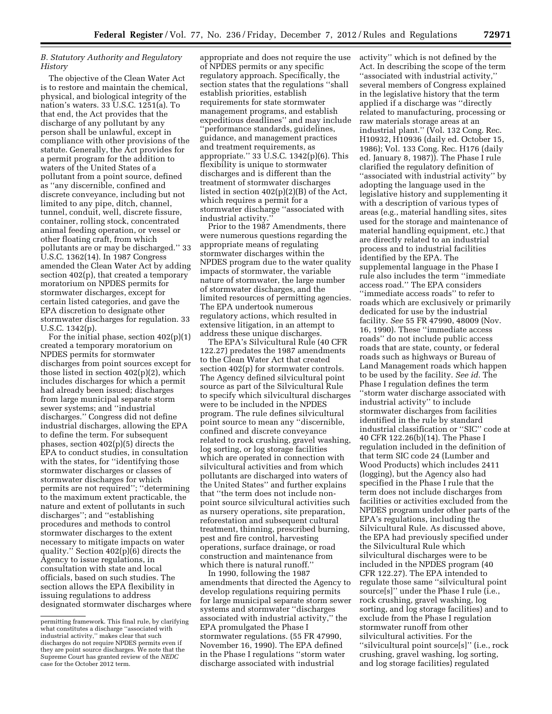# *B. Statutory Authority and Regulatory History*

The objective of the Clean Water Act is to restore and maintain the chemical, physical, and biological integrity of the nation's waters. 33 U.S.C. 1251(a). To that end, the Act provides that the discharge of any pollutant by any person shall be unlawful, except in compliance with other provisions of the statute. Generally, the Act provides for a permit program for the addition to waters of the United States of a pollutant from a point source, defined as ''any discernible, confined and discrete conveyance, including but not limited to any pipe, ditch, channel, tunnel, conduit, well, discrete fissure, container, rolling stock, concentrated animal feeding operation, or vessel or other floating craft, from which pollutants are or may be discharged.'' 33 U.S.C. 1362(14). In 1987 Congress amended the Clean Water Act by adding section 402(p), that created a temporary moratorium on NPDES permits for stormwater discharges, except for certain listed categories, and gave the EPA discretion to designate other stormwater discharges for regulation. 33 U.S.C. 1342(p).

For the initial phase, section  $402(p)(1)$ created a temporary moratorium on NPDES permits for stormwater discharges from point sources except for those listed in section 402(p)(2), which includes discharges for which a permit had already been issued; discharges from large municipal separate storm sewer systems; and ''industrial discharges.'' Congress did not define industrial discharges, allowing the EPA to define the term. For subsequent phases, section 402(p)(5) directs the EPA to conduct studies, in consultation with the states, for "identifying those stormwater discharges or classes of stormwater discharges for which permits are not required''; ''determining to the maximum extent practicable, the nature and extent of pollutants in such discharges''; and ''establishing procedures and methods to control stormwater discharges to the extent necessary to mitigate impacts on water quality." Section  $402(p)(6)$  directs the Agency to issue regulations, in consultation with state and local officials, based on such studies. The section allows the EPA flexibility in issuing regulations to address designated stormwater discharges where

appropriate and does not require the use of NPDES permits or any specific regulatory approach. Specifically, the section states that the regulations ''shall establish priorities, establish requirements for state stormwater management programs, and establish expeditious deadlines'' and may include ''performance standards, guidelines, guidance, and management practices and treatment requirements, as appropriate." 33 U.S.C.  $1342(p)(6)$ . This flexibility is unique to stormwater discharges and is different than the treatment of stormwater discharges listed in section 402(p)(2)(B) of the Act, which requires a permit for a stormwater discharge ''associated with industrial activity.''

Prior to the 1987 Amendments, there were numerous questions regarding the appropriate means of regulating stormwater discharges within the NPDES program due to the water quality impacts of stormwater, the variable nature of stormwater, the large number of stormwater discharges, and the limited resources of permitting agencies. The EPA undertook numerous regulatory actions, which resulted in extensive litigation, in an attempt to address these unique discharges.

The EPA's Silvicultural Rule (40 CFR 122.27) predates the 1987 amendments to the Clean Water Act that created section 402(p) for stormwater controls. The Agency defined silvicultural point source as part of the Silvicultural Rule to specify which silvicultural discharges were to be included in the NPDES program. The rule defines silvicultural point source to mean any ''discernible, confined and discrete conveyance related to rock crushing, gravel washing, log sorting, or log storage facilities which are operated in connection with silvicultural activities and from which pollutants are discharged into waters of the United States'' and further explains that ''the term does not include nonpoint source silvicultural activities such as nursery operations, site preparation, reforestation and subsequent cultural treatment, thinning, prescribed burning, pest and fire control, harvesting operations, surface drainage, or road construction and maintenance from which there is natural runoff.''

In 1990, following the 1987 amendments that directed the Agency to develop regulations requiring permits for large municipal separate storm sewer systems and stormwater ''discharges associated with industrial activity,'' the EPA promulgated the Phase I stormwater regulations. (55 FR 47990, November 16, 1990). The EPA defined in the Phase I regulations ''storm water discharge associated with industrial

activity'' which is not defined by the Act. In describing the scope of the term ''associated with industrial activity,'' several members of Congress explained in the legislative history that the term applied if a discharge was ''directly related to manufacturing, processing or raw materials storage areas at an industrial plant.'' (Vol. 132 Cong. Rec. H10932, H10936 (daily ed. October 15, 1986); Vol. 133 Cong. Rec. H176 (daily ed. January 8, 1987)). The Phase I rule clarified the regulatory definition of ''associated with industrial activity'' by adopting the language used in the legislative history and supplementing it with a description of various types of areas (e.g., material handling sites, sites used for the storage and maintenance of material handling equipment, etc.) that are directly related to an industrial process and to industrial facilities identified by the EPA. The supplemental language in the Phase I rule also includes the term ''immediate access road.'' The EPA considers ''immediate access roads'' to refer to roads which are exclusively or primarily dedicated for use by the industrial facility. *See* 55 FR 47990, 48009 (Nov. 16, 1990). These ''immediate access roads'' do not include public access roads that are state, county, or federal roads such as highways or Bureau of Land Management roads which happen to be used by the facility. *See id.* The Phase I regulation defines the term ''storm water discharge associated with industrial activity'' to include stormwater discharges from facilities identified in the rule by standard industrial classification or ''SIC'' code at 40 CFR 122.26(b)(14). The Phase I regulation included in the definition of that term SIC code 24 (Lumber and Wood Products) which includes 2411 (logging), but the Agency also had specified in the Phase I rule that the term does not include discharges from facilities or activities excluded from the NPDES program under other parts of the EPA's regulations, including the Silvicultural Rule. As discussed above, the EPA had previously specified under the Silvicultural Rule which silvicultural discharges were to be included in the NPDES program (40 CFR 122.27). The EPA intended to regulate those same ''silvicultural point source[s]'' under the Phase I rule (i.e., rock crushing, gravel washing, log sorting, and log storage facilities) and to exclude from the Phase I regulation stormwater runoff from other silvicultural activities. For the ''silvicultural point source[s]'' (i.e., rock crushing, gravel washing, log sorting, and log storage facilities) regulated

permitting framework. This final rule, by clarifying what constitutes a discharge ''associated with industrial activity,'' makes clear that such discharges do not require NPDES permits even if they are point source discharges. We note that the Supreme Court has granted review of the *NEDC*  case for the October 2012 term.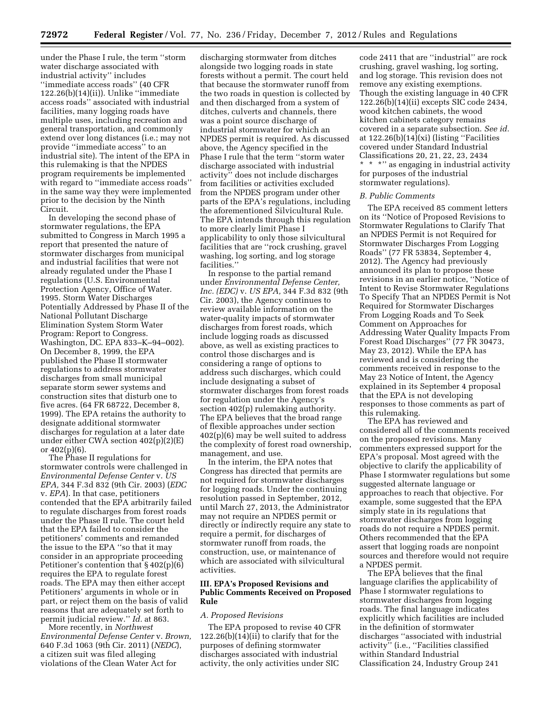under the Phase I rule, the term ''storm water discharge associated with industrial activity'' includes ''immediate access roads'' (40 CFR 122.26(b)(14)(ii)). Unlike ''immediate access roads'' associated with industrial facilities, many logging roads have multiple uses, including recreation and general transportation, and commonly extend over long distances (i.e.; may not provide ''immediate access'' to an industrial site). The intent of the EPA in this rulemaking is that the NPDES program requirements be implemented with regard to ''immediate access roads'' in the same way they were implemented prior to the decision by the Ninth Circuit.

In developing the second phase of stormwater regulations, the EPA submitted to Congress in March 1995 a report that presented the nature of stormwater discharges from municipal and industrial facilities that were not already regulated under the Phase I regulations (U.S. Environmental Protection Agency, Office of Water. 1995. Storm Water Discharges Potentially Addressed by Phase II of the National Pollutant Discharge Elimination System Storm Water Program: Report to Congress. Washington, DC. EPA 833–K–94–002). On December 8, 1999, the EPA published the Phase II stormwater regulations to address stormwater discharges from small municipal separate storm sewer systems and construction sites that disturb one to five acres. (64 FR 68722, December 8, 1999). The EPA retains the authority to designate additional stormwater discharges for regulation at a later date under either CWA section 402(p)(2)(E) or 402(p)(6).

The Phase II regulations for stormwater controls were challenged in *Environmental Defense Center* v. *US EPA,* 344 F.3d 832 (9th Cir. 2003) (*EDC*  v. *EPA*). In that case, petitioners contended that the EPA arbitrarily failed to regulate discharges from forest roads under the Phase II rule. The court held that the EPA failed to consider the petitioners' comments and remanded the issue to the EPA ''so that it may consider in an appropriate proceeding Petitioner's contention that § 402(p)(6) requires the EPA to regulate forest roads. The EPA may then either accept Petitioners' arguments in whole or in part, or reject them on the basis of valid reasons that are adequately set forth to permit judicial review.'' *Id.* at 863.

More recently, in *Northwest Environmental Defense Center* v. *Brown,*  640 F.3d 1063 (9th Cir. 2011) (*NEDC*), a citizen suit was filed alleging violations of the Clean Water Act for

discharging stormwater from ditches alongside two logging roads in state forests without a permit. The court held that because the stormwater runoff from the two roads in question is collected by and then discharged from a system of ditches, culverts and channels, there was a point source discharge of industrial stormwater for which an NPDES permit is required. As discussed above, the Agency specified in the Phase I rule that the term ''storm water discharge associated with industrial activity'' does not include discharges from facilities or activities excluded from the NPDES program under other parts of the EPA's regulations, including the aforementioned Silvicultural Rule. The EPA intends through this regulation to more clearly limit Phase I applicability to only those silvicultural facilities that are ''rock crushing, gravel washing, log sorting, and log storage facilities.''

In response to the partial remand under *Environmental Defense Center, Inc. (EDC)* v. *US EPA,* 344 F.3d 832 (9th Cir. 2003), the Agency continues to review available information on the water-quality impacts of stormwater discharges from forest roads, which include logging roads as discussed above, as well as existing practices to control those discharges and is considering a range of options to address such discharges, which could include designating a subset of stormwater discharges from forest roads for regulation under the Agency's section 402(p) rulemaking authority. The EPA believes that the broad range of flexible approaches under section  $402(p)(6)$  may be well suited to address the complexity of forest road ownership, management, and use.

In the interim, the EPA notes that Congress has directed that permits are not required for stormwater discharges for logging roads. Under the continuing resolution passed in September, 2012, until March 27, 2013, the Administrator may not require an NPDES permit or directly or indirectly require any state to require a permit, for discharges of stormwater runoff from roads, the construction, use, or maintenance of which are associated with silvicultural activities.

### **III. EPA's Proposed Revisions and Public Comments Received on Proposed Rule**

#### *A. Proposed Revisions*

The EPA proposed to revise 40 CFR 122.26(b)(14)(ii) to clarify that for the purposes of defining stormwater discharges associated with industrial activity, the only activities under SIC

code 2411 that are ''industrial'' are rock crushing, gravel washing, log sorting, and log storage. This revision does not remove any existing exemptions. Though the existing language in 40 CFR 122.26(b)(14)(ii) excepts SIC code 2434, wood kitchen cabinets, the wood kitchen cabinets category remains covered in a separate subsection. *See id.*  at 122.26(b)(14)(xi) (listing ''Facilities covered under Standard Industrial Classifications 20, 21, 22, 23, 2434 \* \* \*'' as engaging in industrial activity for purposes of the industrial stormwater regulations).

#### *B. Public Comments*

The EPA received 85 comment letters on its ''Notice of Proposed Revisions to Stormwater Regulations to Clarify That an NPDES Permit is not Required for Stormwater Discharges From Logging Roads'' (77 FR 53834, September 4, 2012). The Agency had previously announced its plan to propose these revisions in an earlier notice, ''Notice of Intent to Revise Stormwater Regulations To Specify That an NPDES Permit is Not Required for Stormwater Discharges From Logging Roads and To Seek Comment on Approaches for Addressing Water Quality Impacts From Forest Road Discharges'' (77 FR 30473, May 23, 2012). While the EPA has reviewed and is considering the comments received in response to the May 23 Notice of Intent, the Agency explained in its September 4 proposal that the EPA is not developing responses to those comments as part of this rulemaking.

The EPA has reviewed and considered all of the comments received on the proposed revisions. Many commenters expressed support for the EPA's proposal. Most agreed with the objective to clarify the applicability of Phase I stormwater regulations but some suggested alternate language or approaches to reach that objective. For example, some suggested that the EPA simply state in its regulations that stormwater discharges from logging roads do not require a NPDES permit. Others recommended that the EPA assert that logging roads are nonpoint sources and therefore would not require a NPDES permit.

The EPA believes that the final language clarifies the applicability of Phase I stormwater regulations to stormwater discharges from logging roads. The final language indicates explicitly which facilities are included in the definition of stormwater discharges ''associated with industrial activity'' (i.e., ''Facilities classified within Standard Industrial Classification 24, Industry Group 241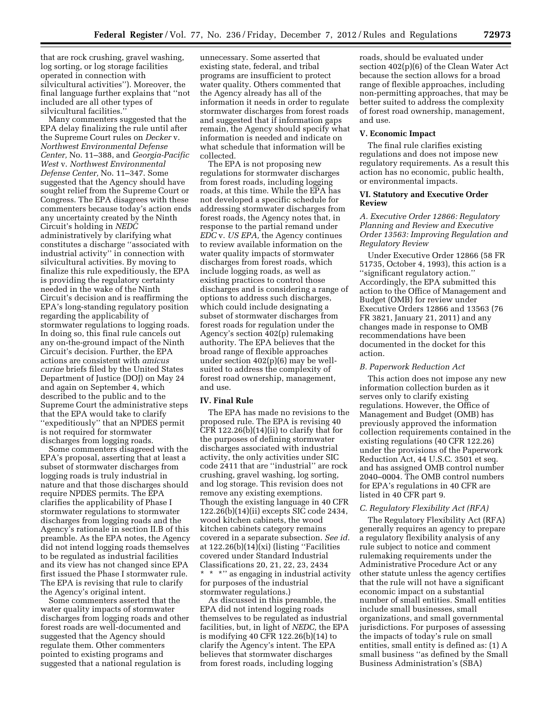that are rock crushing, gravel washing, log sorting, or log storage facilities operated in connection with silvicultural activities''). Moreover, the final language further explains that ''not included are all other types of silvicultural facilities.''

Many commenters suggested that the EPA delay finalizing the rule until after the Supreme Court rules on *Decker* v. *Northwest Environmental Defense Center,* No. 11–388, and *Georgia-Pacific West* v. *Northwest Environmental Defense Center,* No. 11–347. Some suggested that the Agency should have sought relief from the Supreme Court or Congress. The EPA disagrees with these commenters because today's action ends any uncertainty created by the Ninth Circuit's holding in *NEDC*  administratively by clarifying what constitutes a discharge ''associated with industrial activity'' in connection with silvicultural activities. By moving to finalize this rule expeditiously, the EPA is providing the regulatory certainty needed in the wake of the Ninth Circuit's decision and is reaffirming the EPA's long-standing regulatory position regarding the applicability of stormwater regulations to logging roads. In doing so, this final rule cancels out any on-the-ground impact of the Ninth Circuit's decision. Further, the EPA actions are consistent with *amicus curiae* briefs filed by the United States Department of Justice (DOJ) on May 24 and again on September 4, which described to the public and to the Supreme Court the administrative steps that the EPA would take to clarify ''expeditiously'' that an NPDES permit is not required for stormwater discharges from logging roads.

Some commenters disagreed with the EPA's proposal, asserting that at least a subset of stormwater discharges from logging roads is truly industrial in nature and that those discharges should require NPDES permits. The EPA clarifies the applicability of Phase I stormwater regulations to stormwater discharges from logging roads and the Agency's rationale in section II.B of this preamble. As the EPA notes, the Agency did not intend logging roads themselves to be regulated as industrial facilities and its view has not changed since EPA first issued the Phase I stormwater rule. The EPA is revising that rule to clarify the Agency's original intent.

Some commenters asserted that the water quality impacts of stormwater discharges from logging roads and other forest roads are well-documented and suggested that the Agency should regulate them. Other commenters pointed to existing programs and suggested that a national regulation is

unnecessary. Some asserted that existing state, federal, and tribal programs are insufficient to protect water quality. Others commented that the Agency already has all of the information it needs in order to regulate stormwater discharges from forest roads and suggested that if information gaps remain, the Agency should specify what information is needed and indicate on what schedule that information will be collected.

The EPA is not proposing new regulations for stormwater discharges from forest roads, including logging roads, at this time. While the EPA has not developed a specific schedule for addressing stormwater discharges from forest roads, the Agency notes that, in response to the partial remand under *EDC* v. *US EPA,* the Agency continues to review available information on the water quality impacts of stormwater discharges from forest roads, which include logging roads, as well as existing practices to control those discharges and is considering a range of options to address such discharges, which could include designating a subset of stormwater discharges from forest roads for regulation under the Agency's section 402(p) rulemaking authority. The EPA believes that the broad range of flexible approaches under section 402(p)(6) may be wellsuited to address the complexity of forest road ownership, management, and use.

#### **IV. Final Rule**

The EPA has made no revisions to the proposed rule. The EPA is revising 40 CFR 122.26(b)(14)(ii) to clarify that for the purposes of defining stormwater discharges associated with industrial activity, the only activities under SIC code 2411 that are ''industrial'' are rock crushing, gravel washing, log sorting, and log storage. This revision does not remove any existing exemptions. Though the existing language in 40 CFR 122.26(b)(14)(ii) excepts SIC code 2434, wood kitchen cabinets, the wood kitchen cabinets category remains covered in a separate subsection. *See id.*  at 122.26(b)(14)(xi) (listing ''Facilities covered under Standard Industrial Classifications 20, 21, 22, 23, 2434 \* \* \*'' as engaging in industrial activity for purposes of the industrial stormwater regulations.)

As discussed in this preamble, the EPA did not intend logging roads themselves to be regulated as industrial facilities, but, in light of *NEDC,* the EPA is modifying 40 CFR 122.26(b)(14) to clarify the Agency's intent. The EPA believes that stormwater discharges from forest roads, including logging

roads, should be evaluated under section 402(p)(6) of the Clean Water Act because the section allows for a broad range of flexible approaches, including non-permitting approaches, that may be better suited to address the complexity of forest road ownership, management, and use.

#### **V. Economic Impact**

The final rule clarifies existing regulations and does not impose new regulatory requirements. As a result this action has no economic, public health, or environmental impacts.

#### **VI. Statutory and Executive Order Review**

## *A. Executive Order 12866: Regulatory Planning and Review and Executive Order 13563: Improving Regulation and Regulatory Review*

Under Executive Order 12866 (58 FR 51735, October 4, 1993), this action is a ''significant regulatory action.'' Accordingly, the EPA submitted this action to the Office of Management and Budget (OMB) for review under Executive Orders 12866 and 13563 (76 FR 3821, January 21, 2011) and any changes made in response to OMB recommendations have been documented in the docket for this action.

### *B. Paperwork Reduction Act*

This action does not impose any new information collection burden as it serves only to clarify existing regulations. However, the Office of Management and Budget (OMB) has previously approved the information collection requirements contained in the existing regulations (40 CFR 122.26) under the provisions of the Paperwork Reduction Act, 44 U.S.C. 3501 et seq. and has assigned OMB control number 2040–0004. The OMB control numbers for EPA's regulations in 40 CFR are listed in 40 CFR part 9.

#### *C. Regulatory Flexibility Act (RFA)*

The Regulatory Flexibility Act (RFA) generally requires an agency to prepare a regulatory flexibility analysis of any rule subject to notice and comment rulemaking requirements under the Administrative Procedure Act or any other statute unless the agency certifies that the rule will not have a significant economic impact on a substantial number of small entities. Small entities include small businesses, small organizations, and small governmental jurisdictions. For purposes of assessing the impacts of today's rule on small entities, small entity is defined as: (1) A small business ''as defined by the Small Business Administration's (SBA)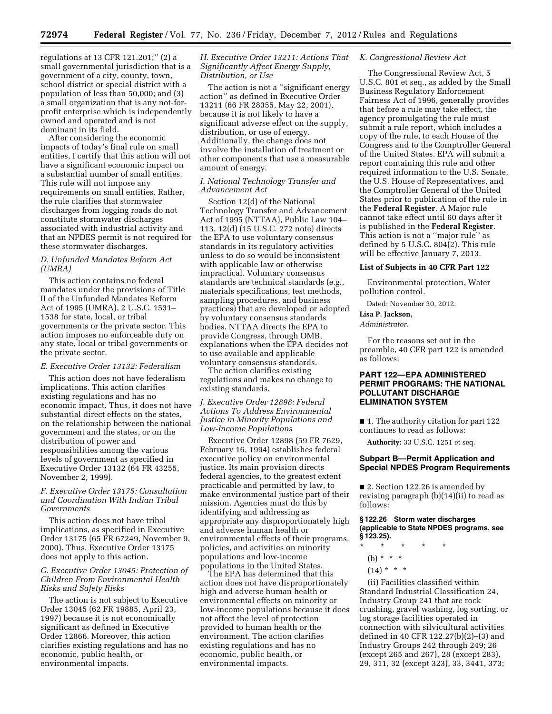regulations at 13 CFR 121.201;'' (2) a small governmental jurisdiction that is a government of a city, county, town, school district or special district with a population of less than 50,000; and (3) a small organization that is any not-forprofit enterprise which is independently owned and operated and is not dominant in its field.

After considering the economic impacts of today's final rule on small entities, I certify that this action will not have a significant economic impact on a substantial number of small entities. This rule will not impose any requirements on small entities. Rather, the rule clarifies that stormwater discharges from logging roads do not constitute stormwater discharges associated with industrial activity and that an NPDES permit is not required for these stormwater discharges.

# *D. Unfunded Mandates Reform Act (UMRA)*

This action contains no federal mandates under the provisions of Title II of the Unfunded Mandates Reform Act of 1995 (UMRA), 2 U.S.C. 1531– 1538 for state, local, or tribal governments or the private sector. This action imposes no enforceable duty on any state, local or tribal governments or the private sector.

# *E. Executive Order 13132: Federalism*

This action does not have federalism implications. This action clarifies existing regulations and has no economic impact. Thus, it does not have substantial direct effects on the states, on the relationship between the national government and the states, or on the distribution of power and responsibilities among the various levels of government as specified in Executive Order 13132 (64 FR 43255, November 2, 1999).

# *F. Executive Order 13175: Consultation and Coordination With Indian Tribal Governments*

This action does not have tribal implications, as specified in Executive Order 13175 (65 FR 67249, November 9, 2000). Thus, Executive Order 13175 does not apply to this action.

### *G. Executive Order 13045: Protection of Children From Environmental Health Risks and Safety Risks*

The action is not subject to Executive Order 13045 (62 FR 19885, April 23, 1997) because it is not economically significant as defined in Executive Order 12866. Moreover, this action clarifies existing regulations and has no economic, public health, or environmental impacts.

### *H. Executive Order 13211: Actions That Significantly Affect Energy Supply, Distribution, or Use*

The action is not a ''significant energy action'' as defined in Executive Order 13211 (66 FR 28355, May 22, 2001), because it is not likely to have a significant adverse effect on the supply, distribution, or use of energy. Additionally, the change does not involve the installation of treatment or other components that use a measurable amount of energy.

### *I. National Technology Transfer and Advancement Act*

Section 12(d) of the National Technology Transfer and Advancement Act of 1995 (NTTAA), Public Law 104– 113, 12(d) (15 U.S.C. 272 note) directs the EPA to use voluntary consensus standards in its regulatory activities unless to do so would be inconsistent with applicable law or otherwise impractical. Voluntary consensus standards are technical standards (e.g., materials specifications, test methods, sampling procedures, and business practices) that are developed or adopted by voluntary consensus standards bodies. NTTAA directs the EPA to provide Congress, through OMB, explanations when the EPA decides not to use available and applicable voluntary consensus standards.

The action clarifies existing regulations and makes no change to existing standards.

## *J. Executive Order 12898: Federal Actions To Address Environmental Justice in Minority Populations and Low-Income Populations*

Executive Order 12898 (59 FR 7629, February 16, 1994) establishes federal executive policy on environmental justice. Its main provision directs federal agencies, to the greatest extent practicable and permitted by law, to make environmental justice part of their mission. Agencies must do this by identifying and addressing as appropriate any disproportionately high and adverse human health or environmental effects of their programs, policies, and activities on minority populations and low-income populations in the United States.

The EPA has determined that this action does not have disproportionately high and adverse human health or environmental effects on minority or low-income populations because it does not affect the level of protection provided to human health or the environment. The action clarifies existing regulations and has no economic, public health, or environmental impacts.

## *K. Congressional Review Act*

The Congressional Review Act, 5 U.S.C. 801 et seq., as added by the Small Business Regulatory Enforcement Fairness Act of 1996, generally provides that before a rule may take effect, the agency promulgating the rule must submit a rule report, which includes a copy of the rule, to each House of the Congress and to the Comptroller General of the United States. EPA will submit a report containing this rule and other required information to the U.S. Senate, the U.S. House of Representatives, and the Comptroller General of the United States prior to publication of the rule in the **Federal Register**. A Major rule cannot take effect until 60 days after it is published in the **Federal Register**. This action is not a ''major rule'' as defined by 5 U.S.C. 804(2). This rule will be effective January 7, 2013.

# **List of Subjects in 40 CFR Part 122**

Environmental protection, Water pollution control.

Dated: November 30, 2012.

# **Lisa P. Jackson,**

*Administrator.* 

For the reasons set out in the preamble, 40 CFR part 122 is amended as follows:

## **PART 122—EPA ADMINISTERED PERMIT PROGRAMS: THE NATIONAL POLLUTANT DISCHARGE ELIMINATION SYSTEM**

■ 1. The authority citation for part 122 continues to read as follows:

**Authority:** 33 U.S.C. 1251 et seq.

# **Subpart B—Permit Application and Special NPDES Program Requirements**

■ 2. Section 122.26 is amended by revising paragraph (b)(14)(ii) to read as follows:

#### **§ 122.26 Storm water discharges (applicable to State NPDES programs, see § 123.25).**

- \* \* \* \* \*
	- (b) \* \* \*
	- $(14) * * * *$

(ii) Facilities classified within Standard Industrial Classification 24, Industry Group 241 that are rock crushing, gravel washing, log sorting, or log storage facilities operated in connection with silvicultural activities defined in 40 CFR 122.27(b)(2)–(3) and Industry Groups 242 through 249; 26 (except 265 and 267), 28 (except 283), 29, 311, 32 (except 323), 33, 3441, 373;